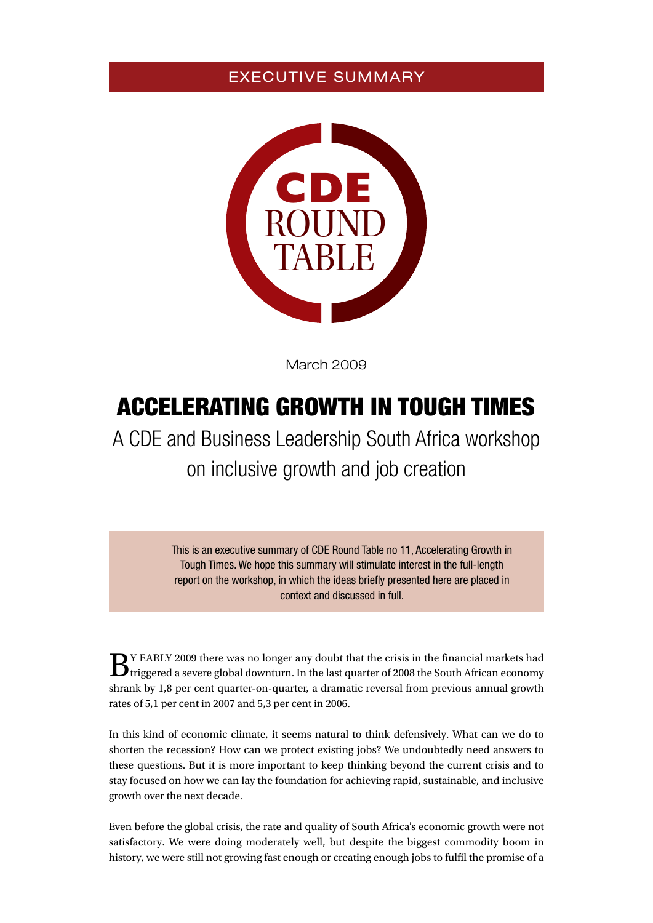## EXECUTIVE SUMMARY



March 2009

# Accelerating growth in tough times

A CDE and Business Leadership South Africa workshop on inclusive growth and job creation

> This is an executive summary of CDE Round Table no 11, Accelerating Growth in Tough Times. We hope this summary will stimulate interest in the full-length report on the workshop, in which the ideas briefly presented here are placed in context and discussed in full.

 $\mathbf{B}^{\text{Y EARLY 2009}}$  there was no longer any doubt that the crisis in the financial markets had triggered a severe global downturn. In the last quarter of 2008 the South African economy shrank by 1,8 per cent quarter-on-quarter, a dramatic reversal from previous annual growth rates of 5,1 per cent in 2007 and 5,3 per cent in 2006.

In this kind of economic climate, it seems natural to think defensively. What can we do to shorten the recession? How can we protect existing jobs? We undoubtedly need answers to these questions. But it is more important to keep thinking beyond the current crisis and to stay focused on how we can lay the foundation for achieving rapid, sustainable, and inclusive growth over the next decade.

Even before the global crisis, the rate and quality of South Africa's economic growth were not satisfactory. We were doing moderately well, but despite the biggest commodity boom in history, we were still not growing fast enough or creating enough jobs to fulfil the promise of a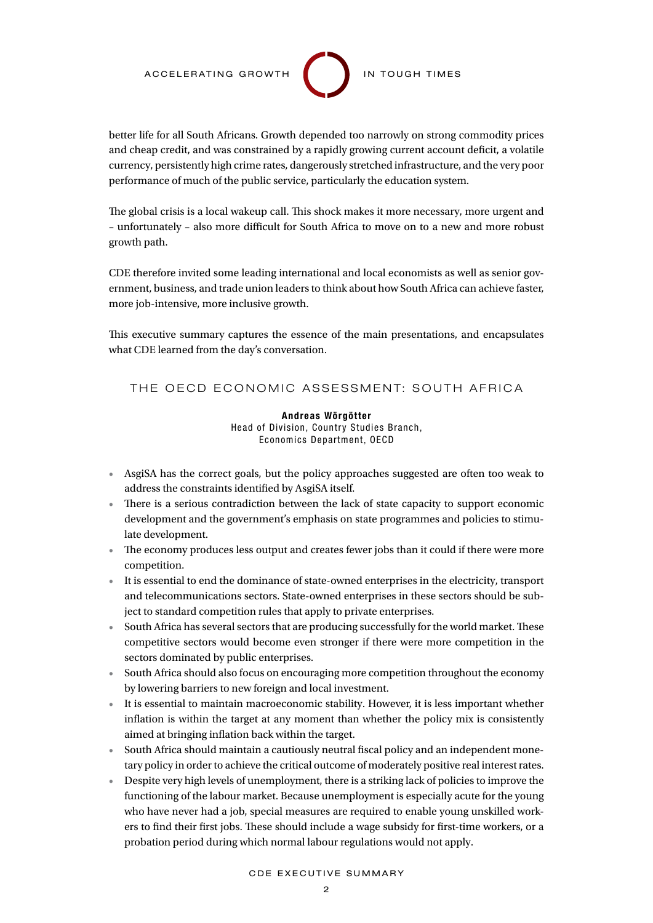better life for all South Africans. Growth depended too narrowly on strong commodity prices and cheap credit, and was constrained by a rapidly growing current account deficit, a volatile currency, persistently high crime rates, dangerously stretched infrastructure, and the very poor performance of much of the public service, particularly the education system.

The global crisis is a local wakeup call. This shock makes it more necessary, more urgent and – unfortunately – also more difficult for South Africa to move on to a new and more robust growth path.

CDE therefore invited some leading international and local economists as well as senior government, business, and trade union leaders to think about how South Africa can achieve faster, more job-intensive, more inclusive growth.

This executive summary captures the essence of the main presentations, and encapsulates what CDE learned from the day's conversation.

#### THE OECD ECONOMIC ASSESSMENT: SOUTH AFRICA

Andreas Wörgötter Head of Division, Country Studies Branch, Economics Department, OECD

- • AsgiSA has the correct goals, but the policy approaches suggested are often too weak to address the constraints identified by AsgiSA itself.
- There is a serious contradiction between the lack of state capacity to support economic development and the government's emphasis on state programmes and policies to stimulate development.
- The economy produces less output and creates fewer jobs than it could if there were more competition.
- • It is essential to end the dominance of state-owned enterprises in the electricity, transport and telecommunications sectors. State-owned enterprises in these sectors should be subject to standard competition rules that apply to private enterprises.
- South Africa has several sectors that are producing successfully for the world market. These competitive sectors would become even stronger if there were more competition in the sectors dominated by public enterprises.
- South Africa should also focus on encouraging more competition throughout the economy by lowering barriers to new foreign and local investment.
- • It is essential to maintain macroeconomic stability. However, it is less important whether inflation is within the target at any moment than whether the policy mix is consistently aimed at bringing inflation back within the target.
- South Africa should maintain a cautiously neutral fiscal policy and an independent monetary policy in order to achieve the critical outcome of moderately positive real interest rates.
- • Despite very high levels of unemployment, there is a striking lack of policies to improve the functioning of the labour market. Because unemployment is especially acute for the young who have never had a job, special measures are required to enable young unskilled workers to find their first jobs. These should include a wage subsidy for first-time workers, or a probation period during which normal labour regulations would not apply.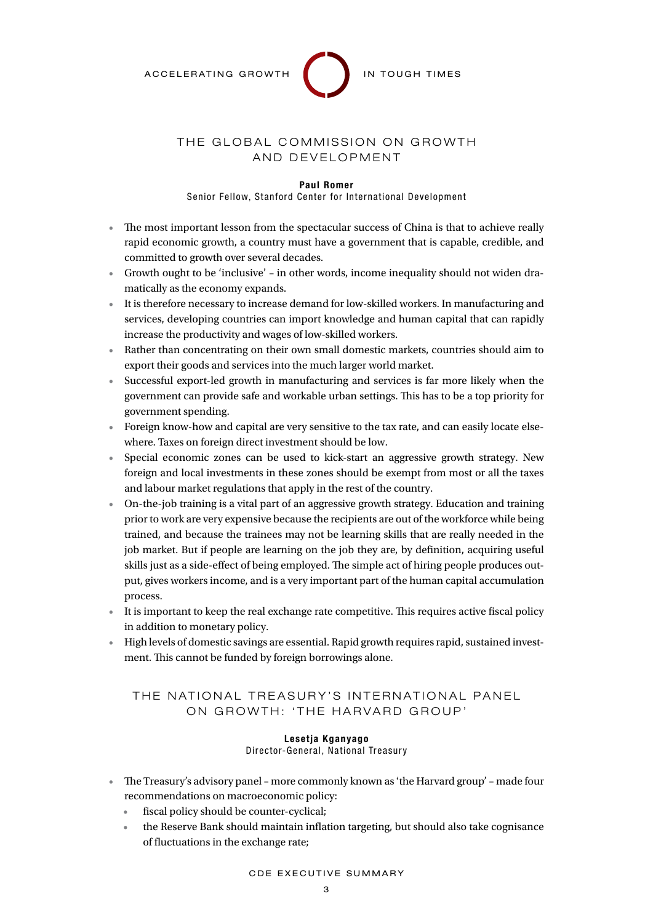

### THE GLOBAL COMMISSION ON GROWTH AND DEVELOPMENT

#### Paul Romer

Senior Fellow, Stanford Center for International Development

- The most important lesson from the spectacular success of China is that to achieve really rapid economic growth, a country must have a government that is capable, credible, and committed to growth over several decades.
- • Growth ought to be 'inclusive' in other words, income inequality should not widen dramatically as the economy expands.
- • It is therefore necessary to increase demand for low-skilled workers. In manufacturing and services, developing countries can import knowledge and human capital that can rapidly increase the productivity and wages of low-skilled workers.
- • Rather than concentrating on their own small domestic markets, countries should aim to export their goods and services into the much larger world market.
- • Successful export-led growth in manufacturing and services is far more likely when the government can provide safe and workable urban settings. This has to be a top priority for government spending.
- Foreign know-how and capital are very sensitive to the tax rate, and can easily locate elsewhere. Taxes on foreign direct investment should be low.
- Special economic zones can be used to kick-start an aggressive growth strategy. New foreign and local investments in these zones should be exempt from most or all the taxes and labour market regulations that apply in the rest of the country.
- • On-the-job training is a vital part of an aggressive growth strategy. Education and training prior to work are very expensive because the recipients are out of the workforce while being trained, and because the trainees may not be learning skills that are really needed in the job market. But if people are learning on the job they are, by definition, acquiring useful skills just as a side-effect of being employed. The simple act of hiring people produces output, gives workers income, and is a very important part of the human capital accumulation process.
- • It is important to keep the real exchange rate competitive. This requires active fiscal policy in addition to monetary policy.
- • High levels of domestic savings are essential. Rapid growth requires rapid, sustained investment. This cannot be funded by foreign borrowings alone.

#### THE NATIONAL TREASURY'S INTERNATIONAL PANEL ON GROWTH: 'THE HARVARD GROUP'

#### Lesetja Kganyago Director-General, National Treasury

- The Treasury's advisory panel more commonly known as 'the Harvard group' made four recommendations on macroeconomic policy:
	- fiscal policy should be counter-cyclical;
	- the Reserve Bank should maintain inflation targeting, but should also take cognisance of fluctuations in the exchange rate;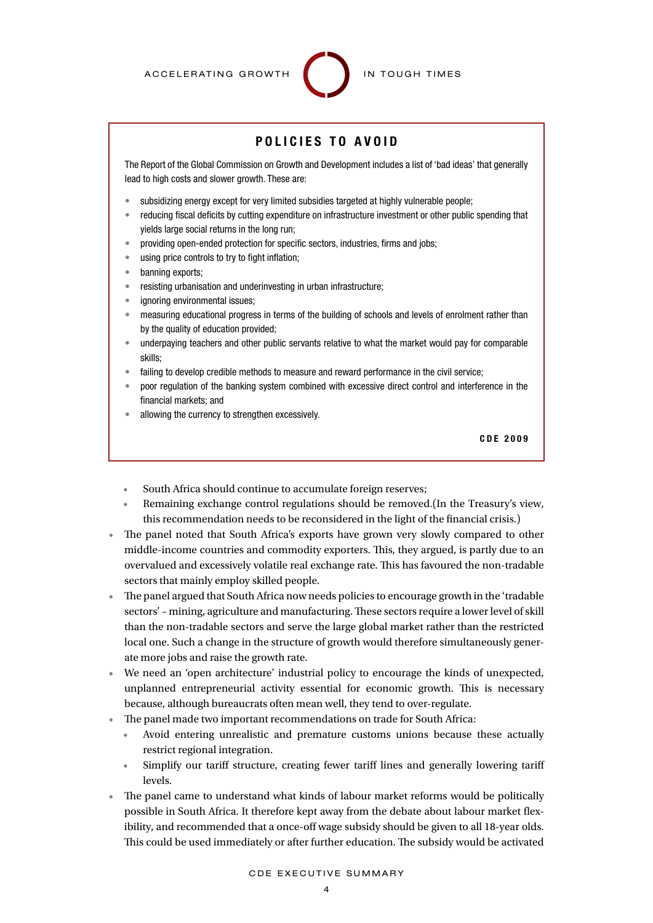## POLICIES TO AVOID

The Report of the Global Commission on Growth and Development includes a list of 'bad ideas' that generally lead to high costs and slower growth. These are:

- subsidizing energy except for very limited subsidies targeted at highly vulnerable people;
- reducing fiscal deficits by cutting expenditure on infrastructure investment or other public spending that yields large social returns in the long run;
- providing open-ended protection for specific sectors, industries, firms and jobs;
- using price controls to try to fight inflation;
- • banning exports;
- resisting urbanisation and underinvesting in urban infrastructure;
- ignoring environmental issues;
- measuring educational progress in terms of the building of schools and levels of enrolment rather than by the quality of education provided;
- underpaying teachers and other public servants relative to what the market would pay for comparable skills;
- failing to develop credible methods to measure and reward performance in the civil service;
- poor regulation of the banking system combined with excessive direct control and interference in the financial markets; and
- allowing the currency to strengthen excessively.

CDE 2 0 0 9

- South Africa should continue to accumulate foreign reserves;
- Remaining exchange control regulations should be removed. (In the Treasury's view, this recommendation needs to be reconsidered in the light of the financial crisis.)
- The panel noted that South Africa's exports have grown very slowly compared to other middle-income countries and commodity exporters. This, they argued, is partly due to an overvalued and excessively volatile real exchange rate. This has favoured the non-tradable sectors that mainly employ skilled people.
- The panel argued that South Africa now needs policies to encourage growth in the 'tradable' sectors' – mining, agriculture and manufacturing. These sectors require a lower level of skill than the non-tradable sectors and serve the large global market rather than the restricted local one. Such a change in the structure of growth would therefore simultaneously generate more jobs and raise the growth rate.
- We need an 'open architecture' industrial policy to encourage the kinds of unexpected, unplanned entrepreneurial activity essential for economic growth. This is necessary because, although bureaucrats often mean well, they tend to over-regulate.
- The panel made two important recommendations on trade for South Africa:
	- Avoid entering unrealistic and premature customs unions because these actually restrict regional integration.
	- • Simplify our tariff structure, creating fewer tariff lines and generally lowering tariff levels.
- The panel came to understand what kinds of labour market reforms would be politically possible in South Africa. It therefore kept away from the debate about labour market flexibility, and recommended that a once-off wage subsidy should be given to all 18-year olds. This could be used immediately or after further education. The subsidy would be activated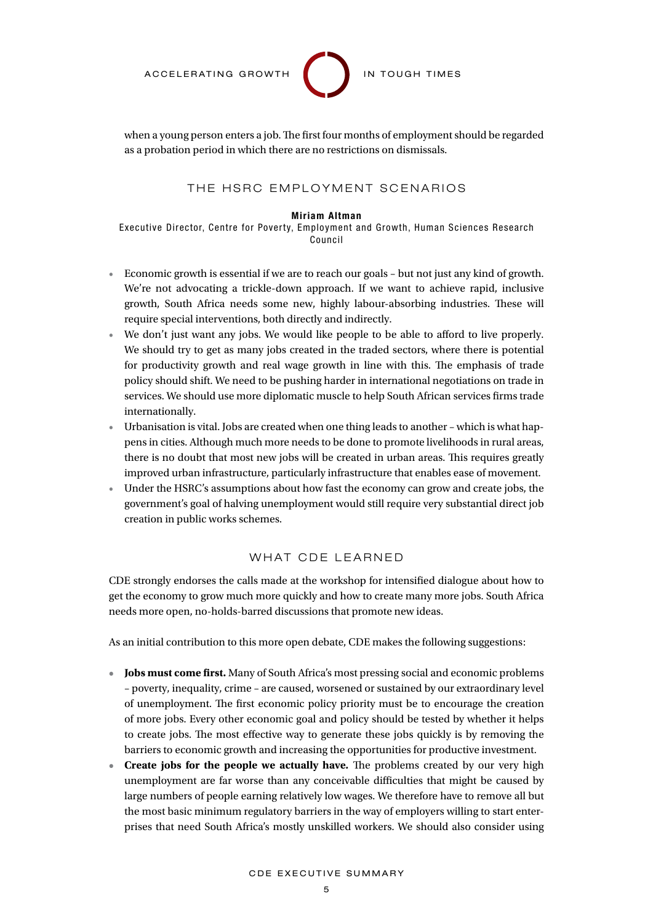

when a young person enters a job. The first four months of employment should be regarded as a probation period in which there are no restrictions on dismissals.

#### THE HSRC EMPLOYMENT SCENARIOS

#### Miriam Altman

Executive Director, Centre for Poverty, Employment and Growth, Human Sciences Research Council

- Economic growth is essential if we are to reach our goals but not just any kind of growth. We're not advocating a trickle-down approach. If we want to achieve rapid, inclusive growth, South Africa needs some new, highly labour-absorbing industries. These will require special interventions, both directly and indirectly.
- We don't just want any jobs. We would like people to be able to afford to live properly. We should try to get as many jobs created in the traded sectors, where there is potential for productivity growth and real wage growth in line with this. The emphasis of trade policy should shift. We need to be pushing harder in international negotiations on trade in services. We should use more diplomatic muscle to help South African services firms trade internationally.
- • Urbanisation is vital. Jobs are created when one thing leads to another which is what happens in cities. Although much more needs to be done to promote livelihoods in rural areas, there is no doubt that most new jobs will be created in urban areas. This requires greatly improved urban infrastructure, particularly infrastructure that enables ease of movement.
- • Under the HSRC's assumptions about how fast the economy can grow and create jobs, the government's goal of halving unemployment would still require very substantial direct job creation in public works schemes.

#### WHAT CDE LEARNED

CDE strongly endorses the calls made at the workshop for intensified dialogue about how to get the economy to grow much more quickly and how to create many more jobs. South Africa needs more open, no-holds-barred discussions that promote new ideas.

As an initial contribution to this more open debate, CDE makes the following suggestions:

- **• Jobs must come first.** Many of South Africa's most pressing social and economic problems – poverty, inequality, crime – are caused, worsened or sustained by our extraordinary level of unemployment. The first economic policy priority must be to encourage the creation of more jobs. Every other economic goal and policy should be tested by whether it helps to create jobs. The most effective way to generate these jobs quickly is by removing the barriers to economic growth and increasing the opportunities for productive investment.
- **• Create jobs for the people we actually have***.* The problems created by our very high unemployment are far worse than any conceivable difficulties that might be caused by large numbers of people earning relatively low wages. We therefore have to remove all but the most basic minimum regulatory barriers in the way of employers willing to start enterprises that need South Africa's mostly unskilled workers. We should also consider using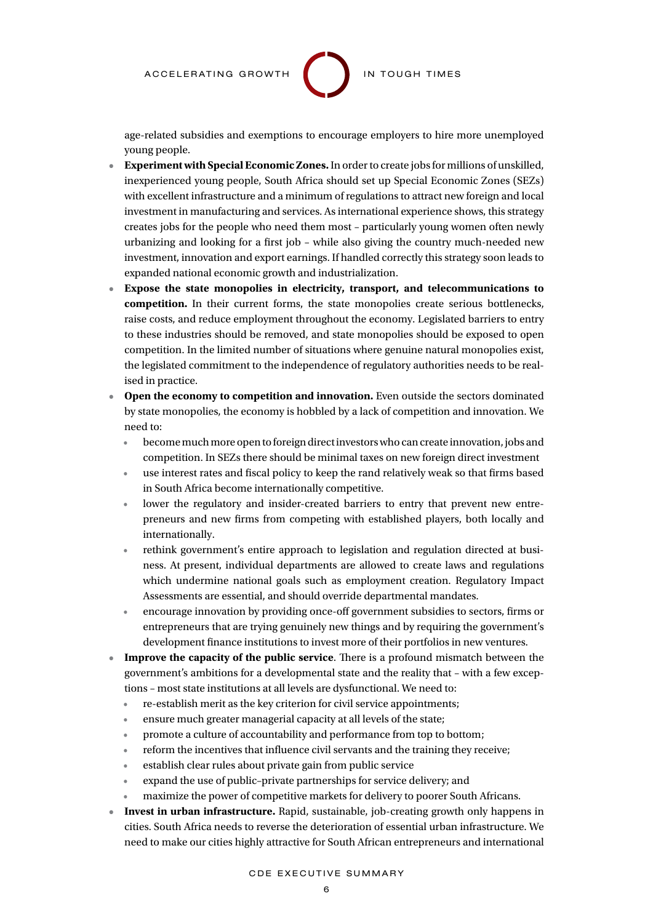

age-related subsidies and exemptions to encourage employers to hire more unemployed young people.

- **• Experiment with Special Economic Zones.**In order to create jobs for millions of unskilled, inexperienced young people, South Africa should set up Special Economic Zones (SEZs) with excellent infrastructure and a minimum of regulations to attract new foreign and local investment in manufacturing and services. As international experience shows, this strategy creates jobs for the people who need them most – particularly young women often newly urbanizing and looking for a first job – while also giving the country much-needed new investment, innovation and export earnings. If handled correctly this strategy soon leads to expanded national economic growth and industrialization.
- **• Expose the state monopolies in electricity, transport, and telecommunications to competition.** In their current forms, the state monopolies create serious bottlenecks, raise costs, and reduce employment throughout the economy. Legislated barriers to entry to these industries should be removed, and state monopolies should be exposed to open competition. In the limited number of situations where genuine natural monopolies exist, the legislated commitment to the independence of regulatory authorities needs to be realised in practice.
- **• Open the economy to competition and innovation.** Even outside the sectors dominated by state monopolies, the economy is hobbled by a lack of competition and innovation. We need to:
	- become much more open to foreign direct investors who can create innovation, jobs and competition. In SEZs there should be minimal taxes on new foreign direct investment
	- use interest rates and fiscal policy to keep the rand relatively weak so that firms based in South Africa become internationally competitive.
	- lower the regulatory and insider-created barriers to entry that prevent new entrepreneurs and new firms from competing with established players, both locally and internationally.
	- rethink government's entire approach to legislation and regulation directed at business. At present, individual departments are allowed to create laws and regulations which undermine national goals such as employment creation. Regulatory Impact Assessments are essential, and should override departmental mandates.
	- encourage innovation by providing once-off government subsidies to sectors, firms or entrepreneurs that are trying genuinely new things and by requiring the government's development finance institutions to invest more of their portfolios in new ventures.
- **• Improve the capacity of the public service**. There is a profound mismatch between the government's ambitions for a developmental state and the reality that – with a few exceptions – most state institutions at all levels are dysfunctional. We need to:
	- re-establish merit as the key criterion for civil service appointments;
	- ensure much greater managerial capacity at all levels of the state;
	- promote a culture of accountability and performance from top to bottom;
	- reform the incentives that influence civil servants and the training they receive;
	- establish clear rules about private gain from public service
	- expand the use of public-private partnerships for service delivery; and
	- maximize the power of competitive markets for delivery to poorer South Africans.
- **• Invest in urban infrastructure.** Rapid, sustainable, job-creating growth only happens in cities. South Africa needs to reverse the deterioration of essential urban infrastructure. We need to make our cities highly attractive for South African entrepreneurs and international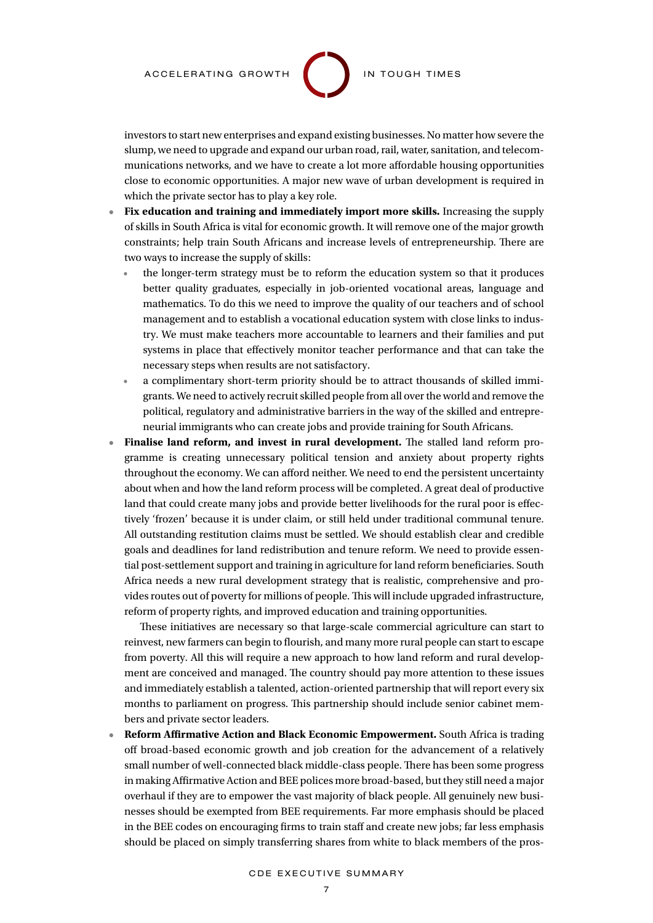

investors to start new enterprises and expand existing businesses. No matter how severe the slump, we need to upgrade and expand our urban road, rail, water, sanitation, and telecommunications networks, and we have to create a lot more affordable housing opportunities close to economic opportunities. A major new wave of urban development is required in which the private sector has to play a key role.

- **• Fix education and training and immediately import more skills.** Increasing the supply of skills in South Africa is vital for economic growth. It will remove one of the major growth constraints; help train South Africans and increase levels of entrepreneurship. There are two ways to increase the supply of skills:
	- the longer-term strategy must be to reform the education system so that it produces better quality graduates, especially in job-oriented vocational areas, language and mathematics. To do this we need to improve the quality of our teachers and of school management and to establish a vocational education system with close links to industry. We must make teachers more accountable to learners and their families and put systems in place that effectively monitor teacher performance and that can take the necessary steps when results are not satisfactory.
	- a complimentary short-term priority should be to attract thousands of skilled immigrants. We need to actively recruit skilled people from all over the world and remove the political, regulatory and administrative barriers in the way of the skilled and entrepreneurial immigrants who can create jobs and provide training for South Africans.
- **• Finalise land reform, and invest in rural development.** The stalled land reform programme is creating unnecessary political tension and anxiety about property rights throughout the economy. We can afford neither. We need to end the persistent uncertainty about when and how the land reform process will be completed. A great deal of productive land that could create many jobs and provide better livelihoods for the rural poor is effectively 'frozen' because it is under claim, or still held under traditional communal tenure. All outstanding restitution claims must be settled. We should establish clear and credible goals and deadlines for land redistribution and tenure reform. We need to provide essential post-settlement support and training in agriculture for land reform beneficiaries. South Africa needs a new rural development strategy that is realistic, comprehensive and provides routes out of poverty for millions of people. This will include upgraded infrastructure, reform of property rights, and improved education and training opportunities.

These initiatives are necessary so that large-scale commercial agriculture can start to reinvest, new farmers can begin to flourish, and many more rural people can start to escape from poverty. All this will require a new approach to how land reform and rural development are conceived and managed. The country should pay more attention to these issues and immediately establish a talented, action-oriented partnership that will report every six months to parliament on progress. This partnership should include senior cabinet members and private sector leaders.

**• Reform Affirmative Action and Black Economic Empowerment.** South Africa is trading off broad-based economic growth and job creation for the advancement of a relatively small number of well-connected black middle-class people. There has been some progress in making Affirmative Action and BEE polices more broad-based, but they still need a major overhaul if they are to empower the vast majority of black people. All genuinely new businesses should be exempted from BEE requirements. Far more emphasis should be placed in the BEE codes on encouraging firms to train staff and create new jobs; far less emphasis should be placed on simply transferring shares from white to black members of the pros-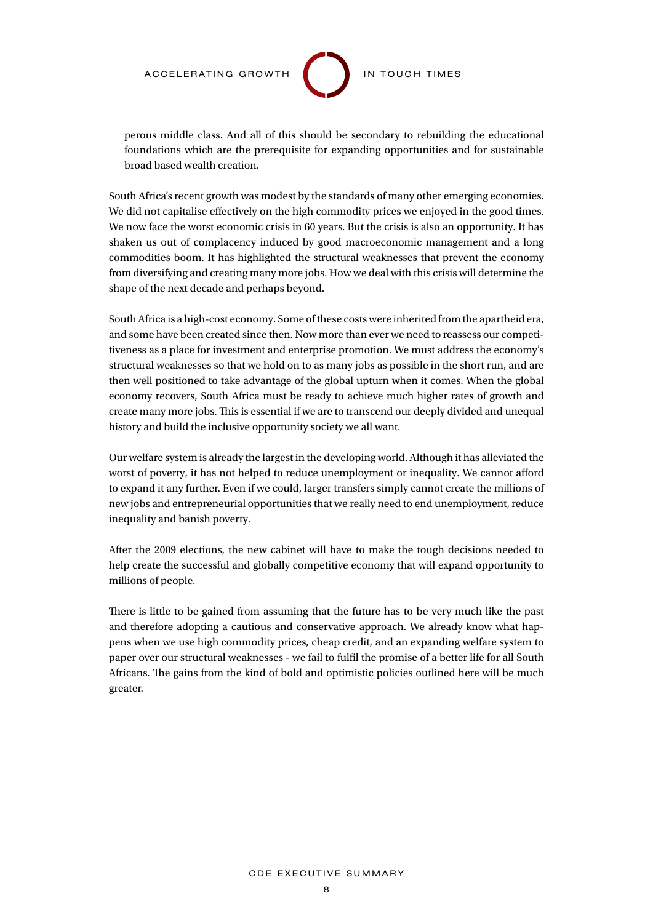

perous middle class. And all of this should be secondary to rebuilding the educational foundations which are the prerequisite for expanding opportunities and for sustainable broad based wealth creation.

South Africa's recent growth was modest by the standards of many other emerging economies. We did not capitalise effectively on the high commodity prices we enjoyed in the good times. We now face the worst economic crisis in 60 years. But the crisis is also an opportunity. It has shaken us out of complacency induced by good macroeconomic management and a long commodities boom. It has highlighted the structural weaknesses that prevent the economy from diversifying and creating many more jobs. How we deal with this crisis will determine the shape of the next decade and perhaps beyond.

South Africa is a high-cost economy. Some of these costs were inherited from the apartheid era, and some have been created since then. Now more than ever we need to reassess our competitiveness as a place for investment and enterprise promotion. We must address the economy's structural weaknesses so that we hold on to as many jobs as possible in the short run, and are then well positioned to take advantage of the global upturn when it comes. When the global economy recovers, South Africa must be ready to achieve much higher rates of growth and create many more jobs. This is essential if we are to transcend our deeply divided and unequal history and build the inclusive opportunity society we all want.

Our welfare system is already the largest in the developing world. Although it has alleviated the worst of poverty, it has not helped to reduce unemployment or inequality. We cannot afford to expand it any further. Even if we could, larger transfers simply cannot create the millions of new jobs and entrepreneurial opportunities that we really need to end unemployment, reduce inequality and banish poverty.

After the 2009 elections, the new cabinet will have to make the tough decisions needed to help create the successful and globally competitive economy that will expand opportunity to millions of people.

There is little to be gained from assuming that the future has to be very much like the past and therefore adopting a cautious and conservative approach. We already know what happens when we use high commodity prices, cheap credit, and an expanding welfare system to paper over our structural weaknesses - we fail to fulfil the promise of a better life for all South Africans. The gains from the kind of bold and optimistic policies outlined here will be much greater.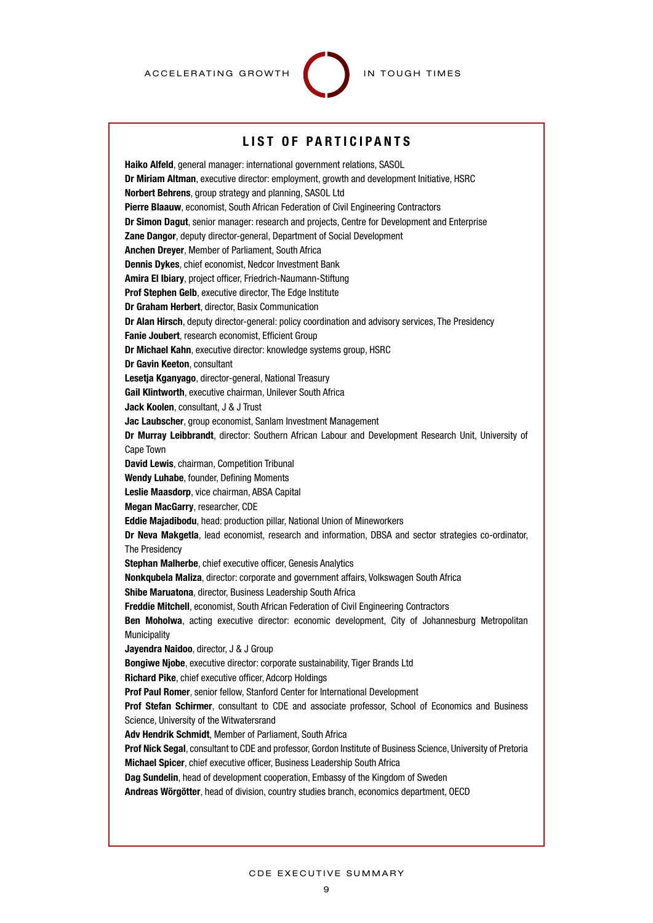

### LIST OF PARTICIPANTS

Haiko Alfeld, general manager: international government relations, SASOL Dr Miriam Altman, executive director: employment, growth and development Initiative, HSRC Norbert Behrens, group strategy and planning, SASOL Ltd Pierre Blaauw, economist, South African Federation of Civil Engineering Contractors Dr Simon Dagut, senior manager: research and projects, Centre for Development and Enterprise **Zane Dangor, deputy director-general, Department of Social Development** Anchen Dreyer, Member of Parliament, South Africa Dennis Dykes, chief economist, Nedcor Investment Bank Amira El Ibiary, project officer, Friedrich-Naumann-Stiftung Prof Stephen Gelb, executive director, The Edge Institute Dr Graham Herbert, director, Basix Communication Dr Alan Hirsch, deputy director-general: policy coordination and advisory services, The Presidency Fanie Joubert, research economist, Efficient Group Dr Michael Kahn, executive director: knowledge systems group, HSRC Dr Gavin Keeton, consultant Lesetja Kganyago, director-general, National Treasury Gail Klintworth, executive chairman, Unilever South Africa Jack Koolen, consultant, J & J Trust Jac Laubscher, group economist, Sanlam Investment Management Dr Murray Leibbrandt, director: Southern African Labour and Development Research Unit, University of Cape Town David Lewis, chairman, Competition Tribunal Wendy Luhabe, founder, Defining Moments Leslie Maasdorp, vice chairman, ABSA Capital Megan MacGarry, researcher, CDE Eddie Majadibodu, head: production pillar, National Union of Mineworkers Dr Neva Makgetla, lead economist, research and information, DBSA and sector strategies co-ordinator, The Presidency Stephan Malherbe, chief executive officer, Genesis Analytics Nonkqubela Maliza, director: corporate and government affairs, Volkswagen South Africa Shibe Maruatona, director, Business Leadership South Africa Freddie Mitchell, economist, South African Federation of Civil Engineering Contractors Ben Moholwa, acting executive director: economic development, City of Johannesburg Metropolitan **Municipality** Jayendra Naidoo, director, J & J Group Bongiwe Njobe, executive director: corporate sustainability, Tiger Brands Ltd Richard Pike, chief executive officer, Adcorp Holdings Prof Paul Romer, senior fellow, Stanford Center for International Development **Prof Stefan Schirmer**, consultant to CDE and associate professor, School of Economics and Business Science, University of the Witwatersrand Adv Hendrik Schmidt, Member of Parliament, South Africa Prof Nick Segal, consultant to CDE and professor, Gordon Institute of Business Science, University of Pretoria Michael Spicer, chief executive officer, Business Leadership South Africa Dag Sundelin, head of development cooperation, Embassy of the Kingdom of Sweden Andreas Wörgötter, head of division, country studies branch, economics department, OECD